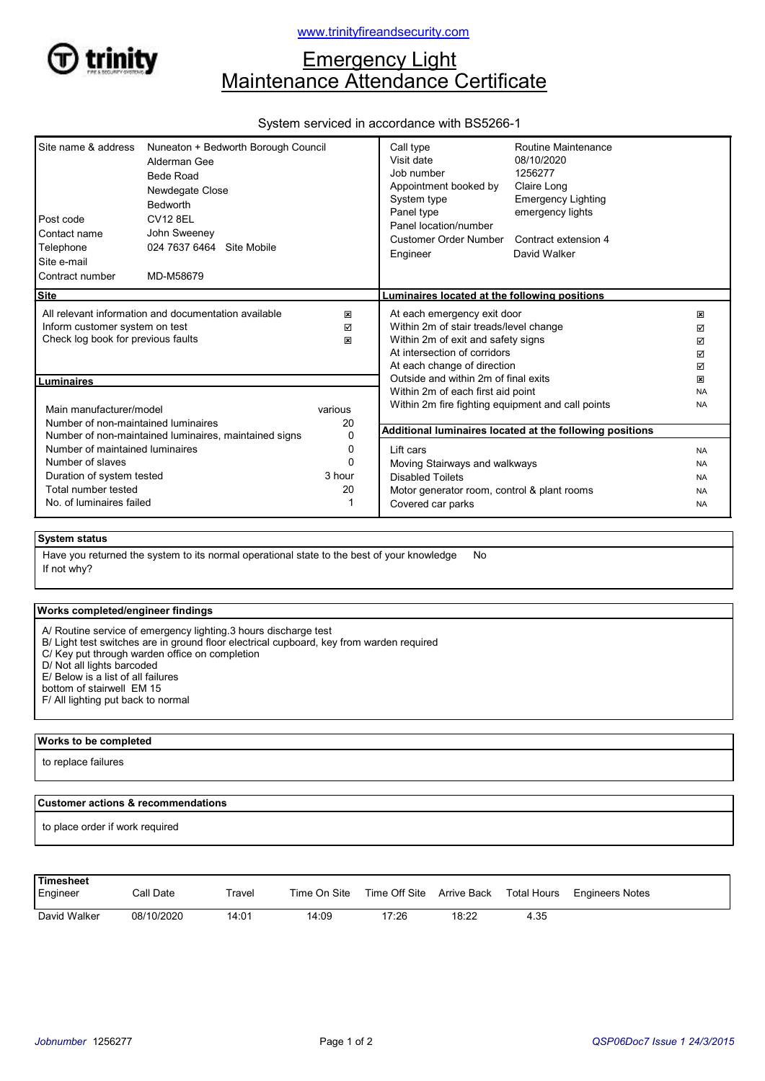

# **Emergency Light** Maintenance Attendance Certificate

## System serviced in accordance with BS5266-1

| Site name & address<br>Post code<br>Contact name<br>Telephone<br>Site e-mail                                                                      | Nuneaton + Bedworth Borough Council<br>Alderman Gee<br>Bede Road<br>Newdegate Close<br>Bedworth<br><b>CV12 8EL</b><br>John Sweeney<br>024 7637 6464 Site Mobile |                           | Call type<br>Visit date<br>Job number<br>Appointment booked by<br>System type<br>Panel type<br>Panel location/number<br>Customer Order Number<br>Engineer                                                                                               | Routine Maintenance<br>08/10/2020<br>1256277<br>Claire Long<br><b>Emergency Lighting</b><br>emergency lights<br>Contract extension 4<br>David Walker |                                         |
|---------------------------------------------------------------------------------------------------------------------------------------------------|-----------------------------------------------------------------------------------------------------------------------------------------------------------------|---------------------------|---------------------------------------------------------------------------------------------------------------------------------------------------------------------------------------------------------------------------------------------------------|------------------------------------------------------------------------------------------------------------------------------------------------------|-----------------------------------------|
| Contract number                                                                                                                                   | MD-M58679                                                                                                                                                       |                           |                                                                                                                                                                                                                                                         |                                                                                                                                                      |                                         |
| <b>Site</b>                                                                                                                                       |                                                                                                                                                                 |                           | Luminaires located at the following positions                                                                                                                                                                                                           |                                                                                                                                                      |                                         |
| All relevant information and documentation available<br>Inform customer system on test<br>Check log book for previous faults<br><b>Luminaires</b> |                                                                                                                                                                 | ×<br>☑<br>図               | At each emergency exit door<br>Within 2m of stair treads/level change<br>Within 2m of exit and safety signs<br>At intersection of corridors<br>At each change of direction<br>Outside and within 2m of final exits<br>Within 2m of each first aid point |                                                                                                                                                      | ×<br>☑<br>☑<br>☑<br>☑<br>図<br><b>NA</b> |
| Main manufacturer/model<br>Number of non-maintained luminaires<br>Number of non-maintained luminaires, maintained signs                           |                                                                                                                                                                 | various<br>20<br>$\Omega$ | Within 2m fire fighting equipment and call points<br><b>NA</b><br>Additional luminaires located at the following positions                                                                                                                              |                                                                                                                                                      |                                         |
| Number of maintained luminaires                                                                                                                   |                                                                                                                                                                 | 0                         | Lift cars                                                                                                                                                                                                                                               |                                                                                                                                                      | <b>NA</b>                               |
| Number of slaves                                                                                                                                  |                                                                                                                                                                 | U                         | Moving Stairways and walkways                                                                                                                                                                                                                           |                                                                                                                                                      | <b>NA</b>                               |
| Duration of system tested                                                                                                                         |                                                                                                                                                                 | 3 hour                    | <b>Disabled Toilets</b>                                                                                                                                                                                                                                 |                                                                                                                                                      | <b>NA</b>                               |
| Total number tested                                                                                                                               |                                                                                                                                                                 | 20                        | Motor generator room, control & plant rooms                                                                                                                                                                                                             |                                                                                                                                                      | <b>NA</b>                               |
| No. of luminaires failed                                                                                                                          |                                                                                                                                                                 |                           | Covered car parks<br><b>NA</b>                                                                                                                                                                                                                          |                                                                                                                                                      |                                         |
| <b>System status</b>                                                                                                                              | Hous you returned the overlam to its normal energianal state to the best of your knowledge                                                                      |                           | $N_{\alpha}$                                                                                                                                                                                                                                            |                                                                                                                                                      |                                         |

If not why? Have you returned the system to its normal operational state to the best of your knowledge No

### Works completed/engineer findings

A/ Routine service of emergency lighting.3 hours discharge test

B/ Light test switches are in ground floor electrical cupboard, key from warden required

C/ Key put through warden office on completion

D/ Not all lights barcoded

E/ Below is a list of all failures

bottom of stairwell EM 15

F/ All lighting put back to normal

#### Works to be completed

to replace failures

#### Customer actions & recommendations

to place order if work required

| Timesheet<br>Engineer | Call Date  | Travel | Time On Site | Time Off Site Arrive Back |       | <b>Total Hours</b> | <b>Engineers Notes</b> |
|-----------------------|------------|--------|--------------|---------------------------|-------|--------------------|------------------------|
| David Walker          | 08/10/2020 | 14:01  | 14:09        | 17:26                     | 18:22 | 4.35               |                        |